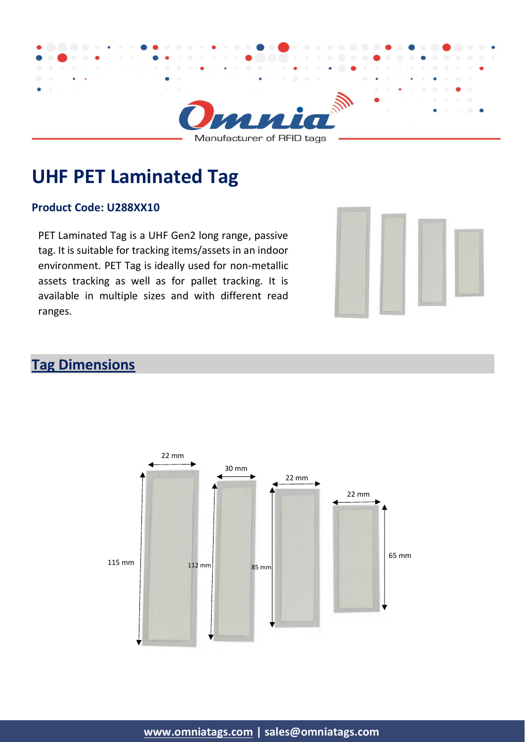

# **UHF PET Laminated Tag**

#### **Product Code: U288XX10**

PET Laminated Tag is a UHF Gen2 long range, passive tag. It is suitable for tracking items/assets in an indoor environment. PET Tag is ideally used for non-metallic assets tracking as well as for pallet tracking. It is available in multiple sizes and with different read ranges.



### **Tag Dimensions**

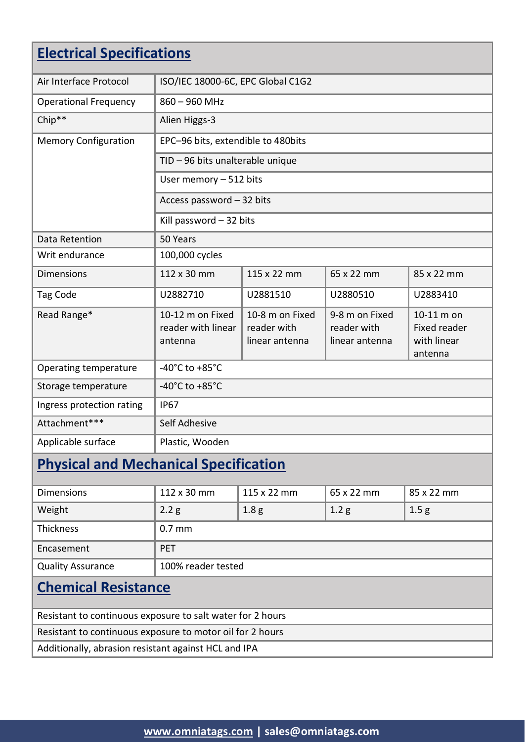| <b>Electrical Specifications</b>                           |                                                   |                                                  |                                                 |                                                      |  |
|------------------------------------------------------------|---------------------------------------------------|--------------------------------------------------|-------------------------------------------------|------------------------------------------------------|--|
| Air Interface Protocol                                     | ISO/IEC 18000-6C, EPC Global C1G2                 |                                                  |                                                 |                                                      |  |
| <b>Operational Frequency</b>                               | $860 - 960$ MHz                                   |                                                  |                                                 |                                                      |  |
| Chip**                                                     | Alien Higgs-3                                     |                                                  |                                                 |                                                      |  |
| <b>Memory Configuration</b>                                | EPC-96 bits, extendible to 480bits                |                                                  |                                                 |                                                      |  |
|                                                            | TID - 96 bits unalterable unique                  |                                                  |                                                 |                                                      |  |
|                                                            | User memory - 512 bits                            |                                                  |                                                 |                                                      |  |
|                                                            | Access password - 32 bits                         |                                                  |                                                 |                                                      |  |
|                                                            | Kill password $-32$ bits                          |                                                  |                                                 |                                                      |  |
| Data Retention                                             | 50 Years                                          |                                                  |                                                 |                                                      |  |
| Writ endurance                                             | 100,000 cycles                                    |                                                  |                                                 |                                                      |  |
| <b>Dimensions</b>                                          | 112 x 30 mm                                       | 115 x 22 mm                                      | 65 x 22 mm                                      | 85 x 22 mm                                           |  |
| Tag Code                                                   | U2882710                                          | U2881510                                         | U2880510                                        | U2883410                                             |  |
| Read Range*                                                | 10-12 m on Fixed<br>reader with linear<br>antenna | 10-8 m on Fixed<br>reader with<br>linear antenna | 9-8 m on Fixed<br>reader with<br>linear antenna | 10-11 m on<br>Fixed reader<br>with linear<br>antenna |  |
| Operating temperature                                      | -40 $^{\circ}$ C to +85 $^{\circ}$ C              |                                                  |                                                 |                                                      |  |
| Storage temperature                                        | -40 $^{\circ}$ C to +85 $^{\circ}$ C              |                                                  |                                                 |                                                      |  |
| Ingress protection rating                                  | <b>IP67</b>                                       |                                                  |                                                 |                                                      |  |
| Attachment***                                              | Self Adhesive                                     |                                                  |                                                 |                                                      |  |
| Applicable surface                                         | Plastic, Wooden                                   |                                                  |                                                 |                                                      |  |
| <b>Physical and Mechanical Specification</b>               |                                                   |                                                  |                                                 |                                                      |  |
| <b>Dimensions</b>                                          | 112 x 30 mm                                       | 115 x 22 mm                                      | 65 x 22 mm                                      | 85 x 22 mm                                           |  |
| Weight                                                     | 2.2 <sub>g</sub>                                  | 1.8 <sub>g</sub>                                 | 1.2 <sub>g</sub>                                | 1.5 <sub>g</sub>                                     |  |
| Thickness                                                  | $0.7$ mm                                          |                                                  |                                                 |                                                      |  |
| Encasement                                                 | PET                                               |                                                  |                                                 |                                                      |  |
| <b>Quality Assurance</b>                                   | 100% reader tested                                |                                                  |                                                 |                                                      |  |
| <b>Chemical Resistance</b>                                 |                                                   |                                                  |                                                 |                                                      |  |
| Resistant to continuous exposure to salt water for 2 hours |                                                   |                                                  |                                                 |                                                      |  |

Resistant to continuous exposure to motor oil for 2 hours

Additionally, abrasion resistant against HCL and IPA